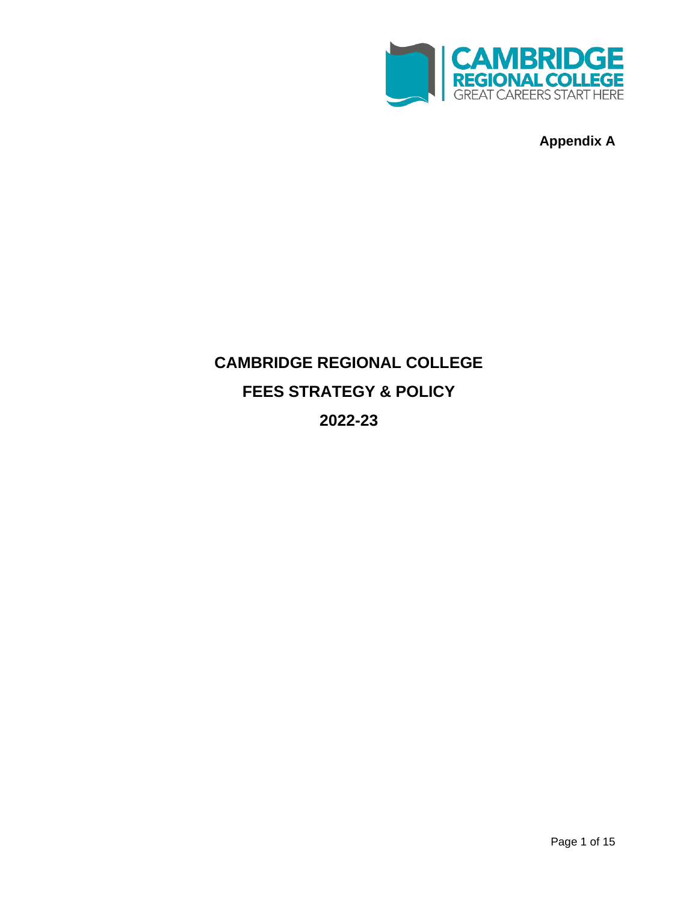

**Appendix A**

# **CAMBRIDGE REGIONAL COLLEGE FEES STRATEGY & POLICY 2022-23**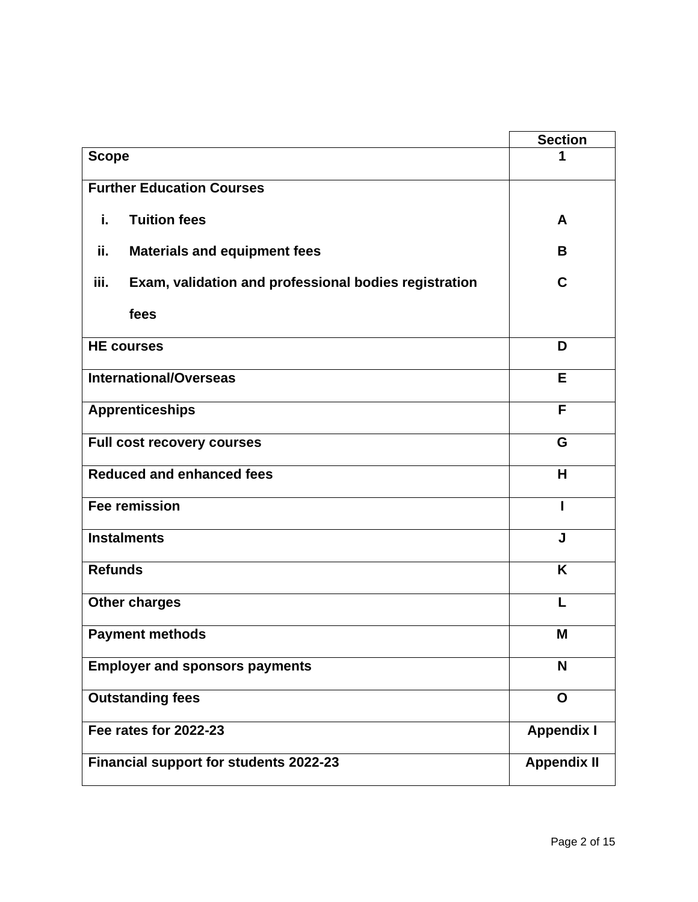|                                                               | <b>Section</b>     |
|---------------------------------------------------------------|--------------------|
| <b>Scope</b>                                                  |                    |
| <b>Further Education Courses</b>                              |                    |
| j.<br><b>Tuition fees</b>                                     | A                  |
| ii.<br><b>Materials and equipment fees</b>                    | B                  |
| iii.<br>Exam, validation and professional bodies registration | C                  |
| fees                                                          |                    |
| <b>HE courses</b>                                             | D                  |
| <b>International/Overseas</b>                                 | E                  |
| <b>Apprenticeships</b>                                        | F                  |
| <b>Full cost recovery courses</b>                             | G                  |
| <b>Reduced and enhanced fees</b>                              | H                  |
| <b>Fee remission</b>                                          |                    |
| <b>Instalments</b>                                            | J                  |
| <b>Refunds</b>                                                | K                  |
| <b>Other charges</b>                                          |                    |
| <b>Payment methods</b>                                        | M                  |
| <b>Employer and sponsors payments</b>                         | N                  |
| <b>Outstanding fees</b>                                       | O                  |
| Fee rates for 2022-23                                         | <b>Appendix I</b>  |
| <b>Financial support for students 2022-23</b>                 | <b>Appendix II</b> |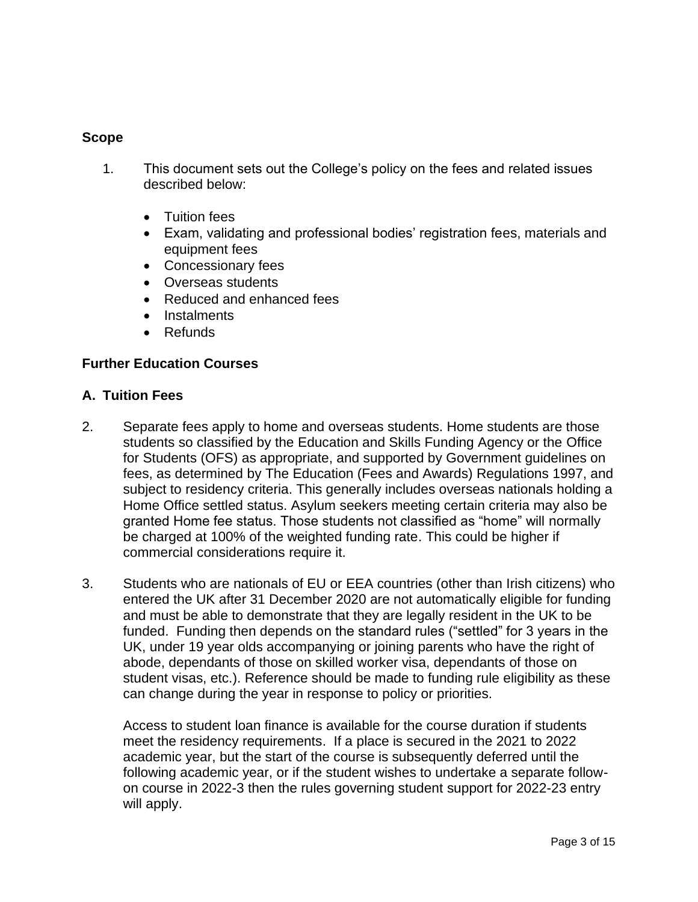#### **Scope**

- 1. This document sets out the College's policy on the fees and related issues described below:
	- Tuition fees
	- Exam, validating and professional bodies' registration fees, materials and equipment fees
	- Concessionary fees
	- Overseas students
	- Reduced and enhanced fees
	- Instalments
	- Refunds

#### **Further Education Courses**

#### **A. Tuition Fees**

- 2. Separate fees apply to home and overseas students. Home students are those students so classified by the Education and Skills Funding Agency or the Office for Students (OFS) as appropriate, and supported by Government guidelines on fees, as determined by The Education (Fees and Awards) Regulations 1997, and subject to residency criteria. This generally includes overseas nationals holding a Home Office settled status. Asylum seekers meeting certain criteria may also be granted Home fee status. Those students not classified as "home" will normally be charged at 100% of the weighted funding rate. This could be higher if commercial considerations require it.
- 3. Students who are nationals of EU or EEA countries (other than Irish citizens) who entered the UK after 31 December 2020 are not automatically eligible for funding and must be able to demonstrate that they are legally resident in the UK to be funded. Funding then depends on the standard rules ("settled" for 3 years in the UK, under 19 year olds accompanying or joining parents who have the right of abode, dependants of those on skilled worker visa, dependants of those on student visas, etc.). Reference should be made to funding rule eligibility as these can change during the year in response to policy or priorities.

Access to student loan finance is available for the course duration if students meet the residency requirements. If a place is secured in the 2021 to 2022 academic year, but the start of the course is subsequently deferred until the following academic year, or if the student wishes to undertake a separate followon course in 2022-3 then the rules governing student support for 2022-23 entry will apply.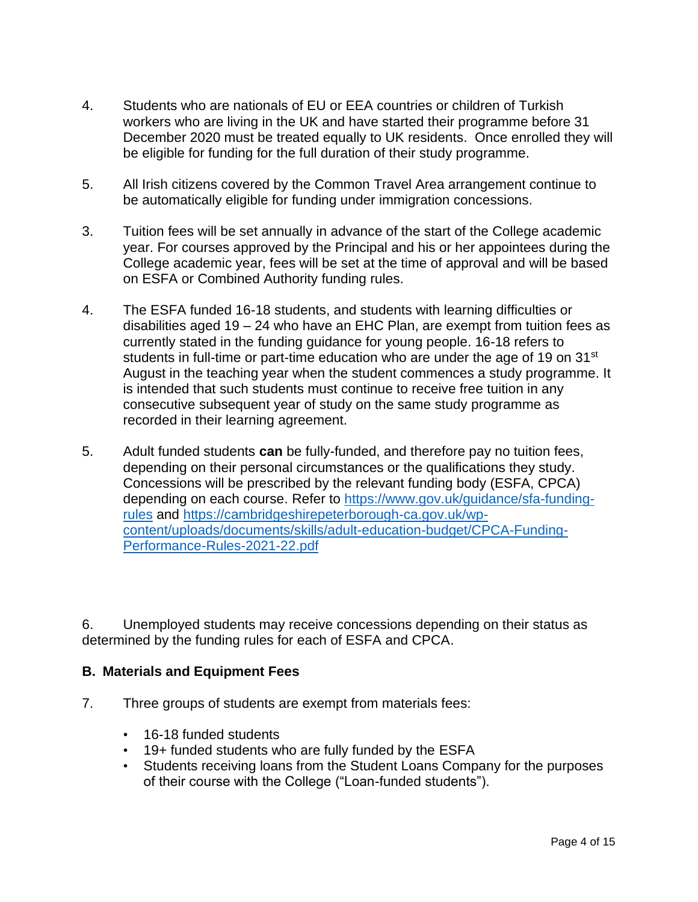- 4. Students who are nationals of EU or EEA countries or children of Turkish workers who are living in the UK and have started their programme before 31 December 2020 must be treated equally to UK residents. Once enrolled they will be eligible for funding for the full duration of their study programme.
- 5. All Irish citizens covered by the Common Travel Area arrangement continue to be automatically eligible for funding under immigration concessions.
- 3. Tuition fees will be set annually in advance of the start of the College academic year. For courses approved by the Principal and his or her appointees during the College academic year, fees will be set at the time of approval and will be based on ESFA or Combined Authority funding rules.
- 4. The ESFA funded 16-18 students, and students with learning difficulties or disabilities aged 19 – 24 who have an EHC Plan, are exempt from tuition fees as currently stated in the funding guidance for young people. 16-18 refers to students in full-time or part-time education who are under the age of 19 on 31<sup>st</sup> August in the teaching year when the student commences a study programme. It is intended that such students must continue to receive free tuition in any consecutive subsequent year of study on the same study programme as recorded in their learning agreement.
- 5. Adult funded students **can** be fully-funded, and therefore pay no tuition fees, depending on their personal circumstances or the qualifications they study. Concessions will be prescribed by the relevant funding body (ESFA, CPCA) depending on each course. Refer to [https://www.gov.uk/guidance/sfa-funding](https://www.gov.uk/guidance/sfa-funding-rules)[rules](https://www.gov.uk/guidance/sfa-funding-rules) and [https://cambridgeshirepeterborough-ca.gov.uk/wp](https://cambridgeshirepeterborough-ca.gov.uk/wp-content/uploads/documents/skills/adult-education-budget/CPCA-Funding-Performance-Rules-2021-22.pdf)[content/uploads/documents/skills/adult-education-budget/CPCA-Funding-](https://cambridgeshirepeterborough-ca.gov.uk/wp-content/uploads/documents/skills/adult-education-budget/CPCA-Funding-Performance-Rules-2021-22.pdf)[Performance-Rules-2021-22.pdf](https://cambridgeshirepeterborough-ca.gov.uk/wp-content/uploads/documents/skills/adult-education-budget/CPCA-Funding-Performance-Rules-2021-22.pdf)

6. Unemployed students may receive concessions depending on their status as determined by the funding rules for each of ESFA and CPCA.

# **B. Materials and Equipment Fees**

- 7. Three groups of students are exempt from materials fees:
	- 16-18 funded students
	- 19+ funded students who are fully funded by the ESFA
	- Students receiving loans from the Student Loans Company for the purposes of their course with the College ("Loan-funded students").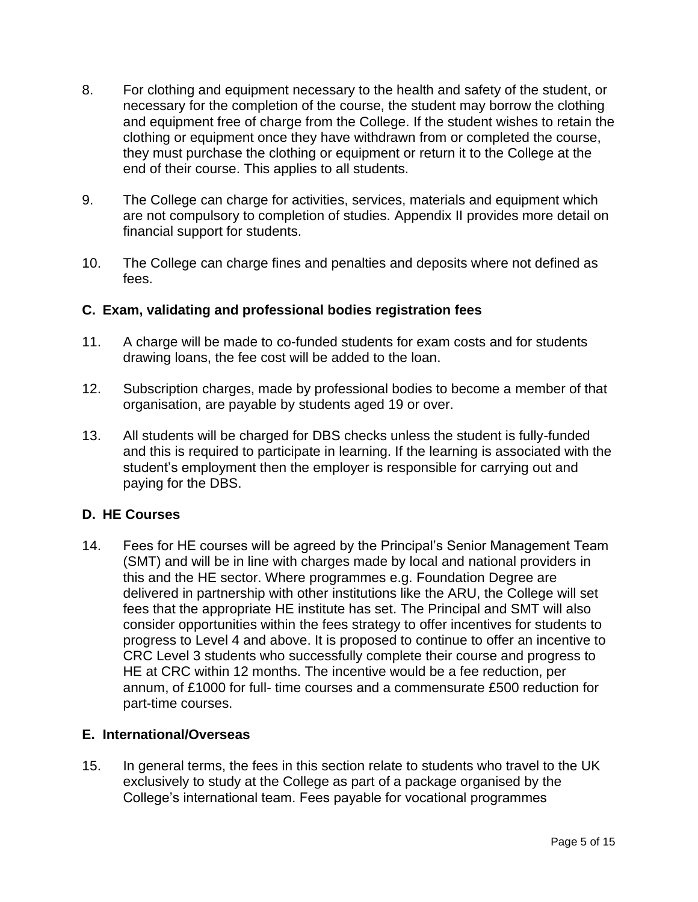- 8. For clothing and equipment necessary to the health and safety of the student, or necessary for the completion of the course, the student may borrow the clothing and equipment free of charge from the College. If the student wishes to retain the clothing or equipment once they have withdrawn from or completed the course, they must purchase the clothing or equipment or return it to the College at the end of their course. This applies to all students.
- 9. The College can charge for activities, services, materials and equipment which are not compulsory to completion of studies. Appendix II provides more detail on financial support for students.
- 10. The College can charge fines and penalties and deposits where not defined as fees.

# **C. Exam, validating and professional bodies registration fees**

- 11. A charge will be made to co-funded students for exam costs and for students drawing loans, the fee cost will be added to the loan.
- 12. Subscription charges, made by professional bodies to become a member of that organisation, are payable by students aged 19 or over.
- 13. All students will be charged for DBS checks unless the student is fully-funded and this is required to participate in learning. If the learning is associated with the student's employment then the employer is responsible for carrying out and paying for the DBS.

## **D. HE Courses**

14. Fees for HE courses will be agreed by the Principal's Senior Management Team (SMT) and will be in line with charges made by local and national providers in this and the HE sector. Where programmes e.g. Foundation Degree are delivered in partnership with other institutions like the ARU, the College will set fees that the appropriate HE institute has set. The Principal and SMT will also consider opportunities within the fees strategy to offer incentives for students to progress to Level 4 and above. It is proposed to continue to offer an incentive to CRC Level 3 students who successfully complete their course and progress to HE at CRC within 12 months. The incentive would be a fee reduction, per annum, of £1000 for full- time courses and a commensurate £500 reduction for part-time courses.

## **E. International/Overseas**

15. In general terms, the fees in this section relate to students who travel to the UK exclusively to study at the College as part of a package organised by the College's international team. Fees payable for vocational programmes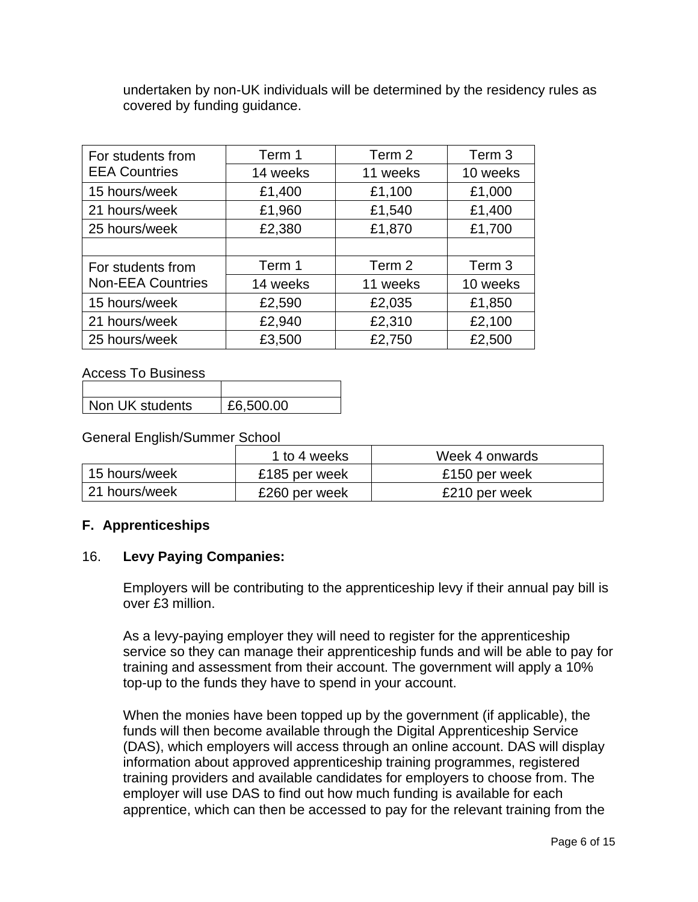undertaken by non-UK individuals will be determined by the residency rules as covered by funding guidance.

| For students from                             | Term 1   | Term 2   | Term 3   |
|-----------------------------------------------|----------|----------|----------|
| <b>EEA Countries</b>                          | 14 weeks | 11 weeks | 10 weeks |
| 15 hours/week                                 | £1,400   | £1,100   | £1,000   |
| 21 hours/week                                 | £1,960   | £1,540   | £1,400   |
| 25 hours/week                                 | £2,380   | £1,870   | £1,700   |
|                                               |          |          |          |
| For students from<br><b>Non-EEA Countries</b> | Term 1   | Term 2   | Term 3   |
|                                               | 14 weeks | 11 weeks | 10 weeks |
| 15 hours/week                                 | £2,590   | £2,035   | £1,850   |
| 21 hours/week                                 | £2,940   | £2,310   | £2,100   |
| 25 hours/week                                 | £3,500   | £2,750   | £2,500   |

Access To Business

| Non UK students | £6,500.00 |
|-----------------|-----------|

## General English/Summer School

|               | 1 to 4 weeks  | Week 4 onwards |
|---------------|---------------|----------------|
| 15 hours/week | £185 per week | £150 per week  |
| 21 hours/week | £260 per week | £210 per week  |

## **F. Apprenticeships**

#### 16. **Levy Paying Companies:**

Employers will be contributing to the apprenticeship levy if their annual pay bill is over £3 million.

As a levy-paying employer they will need to register for the apprenticeship service so they can manage their apprenticeship funds and will be able to pay for training and assessment from their account. The government will apply a 10% top-up to the funds they have to spend in your account.

When the monies have been topped up by the government (if applicable), the funds will then become available through the Digital Apprenticeship Service (DAS), which employers will access through an online account. DAS will display information about approved apprenticeship training programmes, registered training providers and available candidates for employers to choose from. The employer will use DAS to find out how much funding is available for each apprentice, which can then be accessed to pay for the relevant training from the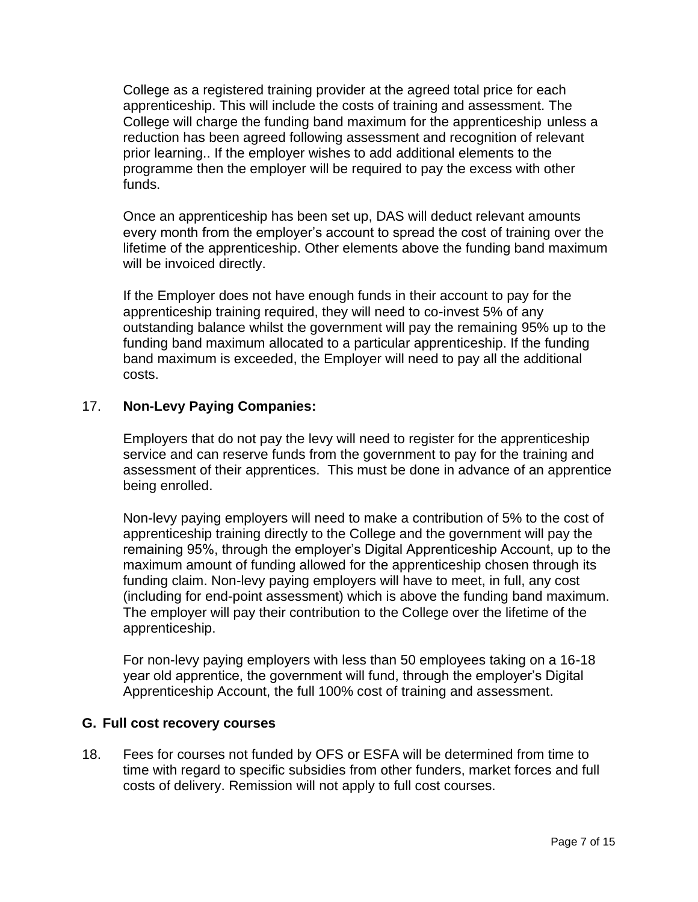College as a registered training provider at the agreed total price for each apprenticeship. This will include the costs of training and assessment. The College will charge the funding band maximum for the apprenticeship unless a reduction has been agreed following assessment and recognition of relevant prior learning.. If the employer wishes to add additional elements to the programme then the employer will be required to pay the excess with other funds.

Once an apprenticeship has been set up, DAS will deduct relevant amounts every month from the employer's account to spread the cost of training over the lifetime of the apprenticeship. Other elements above the funding band maximum will be invoiced directly.

If the Employer does not have enough funds in their account to pay for the apprenticeship training required, they will need to co-invest 5% of any outstanding balance whilst the government will pay the remaining 95% up to the funding band maximum allocated to a particular apprenticeship. If the funding band maximum is exceeded, the Employer will need to pay all the additional costs.

## 17. **Non-Levy Paying Companies:**

Employers that do not pay the levy will need to register for the apprenticeship service and can reserve funds from the government to pay for the training and assessment of their apprentices. This must be done in advance of an apprentice being enrolled.

Non-levy paying employers will need to make a contribution of 5% to the cost of apprenticeship training directly to the College and the government will pay the remaining 95%, through the employer's Digital Apprenticeship Account, up to the maximum amount of funding allowed for the apprenticeship chosen through its funding claim. Non-levy paying employers will have to meet, in full, any cost (including for end-point assessment) which is above the funding band maximum. The employer will pay their contribution to the College over the lifetime of the apprenticeship.

For non-levy paying employers with less than 50 employees taking on a 16-18 year old apprentice, the government will fund, through the employer's Digital Apprenticeship Account, the full 100% cost of training and assessment.

#### **G. Full cost recovery courses**

18. Fees for courses not funded by OFS or ESFA will be determined from time to time with regard to specific subsidies from other funders, market forces and full costs of delivery. Remission will not apply to full cost courses.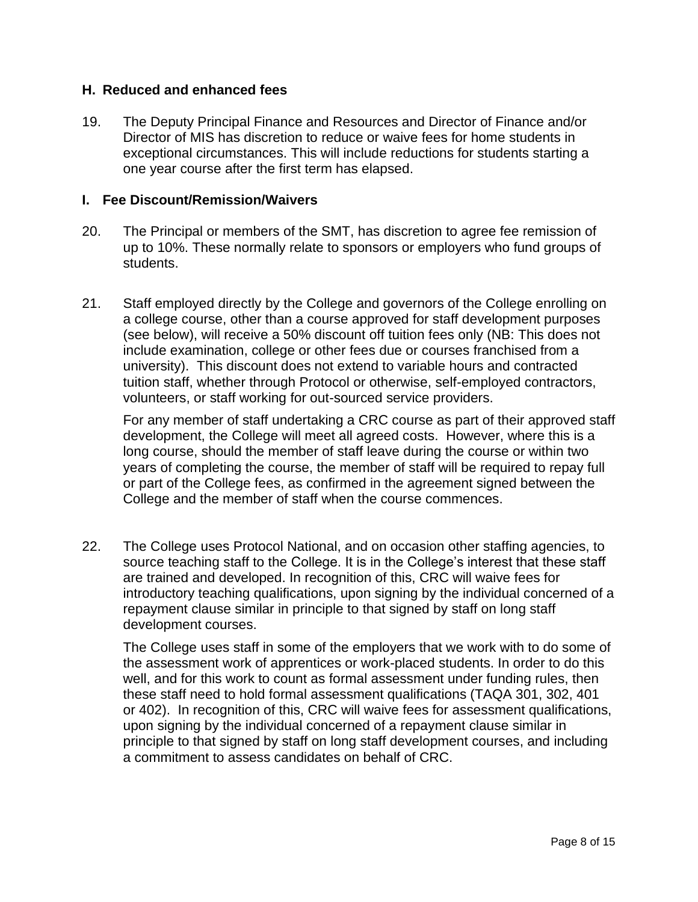#### **H. Reduced and enhanced fees**

19. The Deputy Principal Finance and Resources and Director of Finance and/or Director of MIS has discretion to reduce or waive fees for home students in exceptional circumstances. This will include reductions for students starting a one year course after the first term has elapsed.

#### **I. Fee Discount/Remission/Waivers**

- 20. The Principal or members of the SMT, has discretion to agree fee remission of up to 10%. These normally relate to sponsors or employers who fund groups of students.
- 21. Staff employed directly by the College and governors of the College enrolling on a college course, other than a course approved for staff development purposes (see below), will receive a 50% discount off tuition fees only (NB: This does not include examination, college or other fees due or courses franchised from a university). This discount does not extend to variable hours and contracted tuition staff, whether through Protocol or otherwise, self-employed contractors, volunteers, or staff working for out-sourced service providers.

For any member of staff undertaking a CRC course as part of their approved staff development, the College will meet all agreed costs. However, where this is a long course, should the member of staff leave during the course or within two years of completing the course, the member of staff will be required to repay full or part of the College fees, as confirmed in the agreement signed between the College and the member of staff when the course commences.

22. The College uses Protocol National, and on occasion other staffing agencies, to source teaching staff to the College. It is in the College's interest that these staff are trained and developed. In recognition of this, CRC will waive fees for introductory teaching qualifications, upon signing by the individual concerned of a repayment clause similar in principle to that signed by staff on long staff development courses.

The College uses staff in some of the employers that we work with to do some of the assessment work of apprentices or work-placed students. In order to do this well, and for this work to count as formal assessment under funding rules, then these staff need to hold formal assessment qualifications (TAQA 301, 302, 401 or 402). In recognition of this, CRC will waive fees for assessment qualifications, upon signing by the individual concerned of a repayment clause similar in principle to that signed by staff on long staff development courses, and including a commitment to assess candidates on behalf of CRC.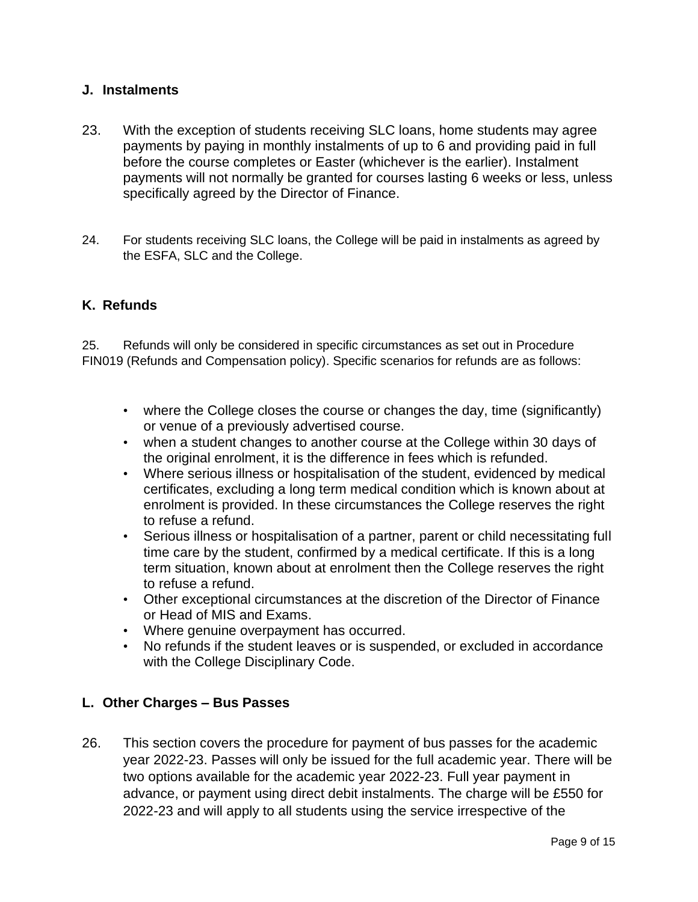#### **J. Instalments**

- 23. With the exception of students receiving SLC loans, home students may agree payments by paying in monthly instalments of up to 6 and providing paid in full before the course completes or Easter (whichever is the earlier). Instalment payments will not normally be granted for courses lasting 6 weeks or less, unless specifically agreed by the Director of Finance.
- 24. For students receiving SLC loans, the College will be paid in instalments as agreed by the ESFA, SLC and the College.

## **K. Refunds**

25. Refunds will only be considered in specific circumstances as set out in Procedure FIN019 (Refunds and Compensation policy). Specific scenarios for refunds are as follows:

- where the College closes the course or changes the day, time (significantly) or venue of a previously advertised course.
- when a student changes to another course at the College within 30 days of the original enrolment, it is the difference in fees which is refunded.
- Where serious illness or hospitalisation of the student, evidenced by medical certificates, excluding a long term medical condition which is known about at enrolment is provided. In these circumstances the College reserves the right to refuse a refund.
- Serious illness or hospitalisation of a partner, parent or child necessitating full time care by the student, confirmed by a medical certificate. If this is a long term situation, known about at enrolment then the College reserves the right to refuse a refund.
- Other exceptional circumstances at the discretion of the Director of Finance or Head of MIS and Exams.
- Where genuine overpayment has occurred.
- No refunds if the student leaves or is suspended, or excluded in accordance with the College Disciplinary Code.

#### **L. Other Charges – Bus Passes**

26. This section covers the procedure for payment of bus passes for the academic year 2022-23. Passes will only be issued for the full academic year. There will be two options available for the academic year 2022-23. Full year payment in advance, or payment using direct debit instalments. The charge will be £550 for 2022-23 and will apply to all students using the service irrespective of the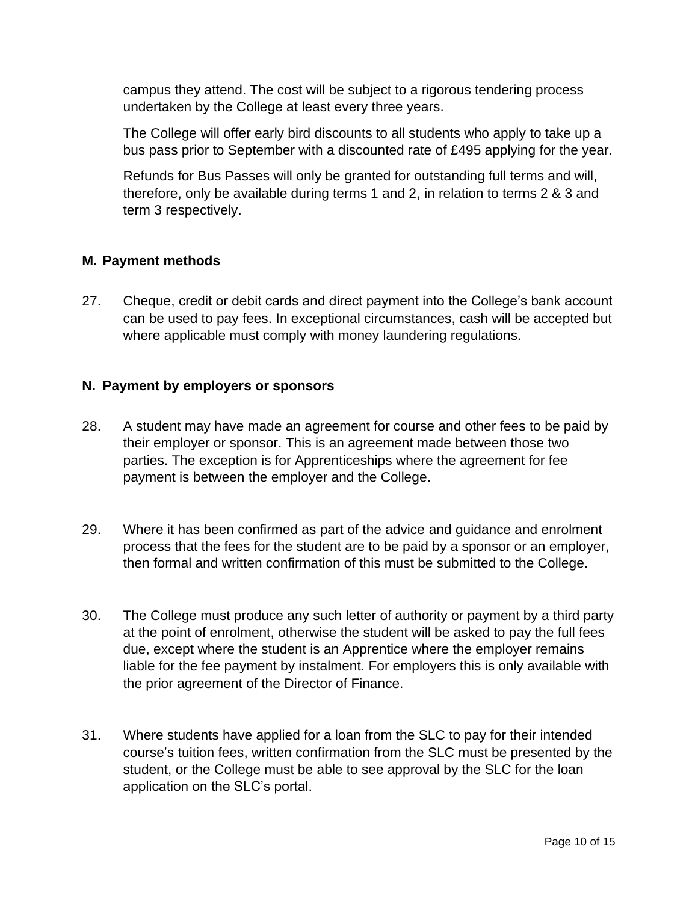campus they attend. The cost will be subject to a rigorous tendering process undertaken by the College at least every three years.

The College will offer early bird discounts to all students who apply to take up a bus pass prior to September with a discounted rate of £495 applying for the year.

Refunds for Bus Passes will only be granted for outstanding full terms and will, therefore, only be available during terms 1 and 2, in relation to terms 2 & 3 and term 3 respectively.

# **M. Payment methods**

27. Cheque, credit or debit cards and direct payment into the College's bank account can be used to pay fees. In exceptional circumstances, cash will be accepted but where applicable must comply with money laundering regulations.

# **N. Payment by employers or sponsors**

- 28. A student may have made an agreement for course and other fees to be paid by their employer or sponsor. This is an agreement made between those two parties. The exception is for Apprenticeships where the agreement for fee payment is between the employer and the College.
- 29. Where it has been confirmed as part of the advice and guidance and enrolment process that the fees for the student are to be paid by a sponsor or an employer, then formal and written confirmation of this must be submitted to the College.
- 30. The College must produce any such letter of authority or payment by a third party at the point of enrolment, otherwise the student will be asked to pay the full fees due, except where the student is an Apprentice where the employer remains liable for the fee payment by instalment. For employers this is only available with the prior agreement of the Director of Finance.
- 31. Where students have applied for a loan from the SLC to pay for their intended course's tuition fees, written confirmation from the SLC must be presented by the student, or the College must be able to see approval by the SLC for the loan application on the SLC's portal.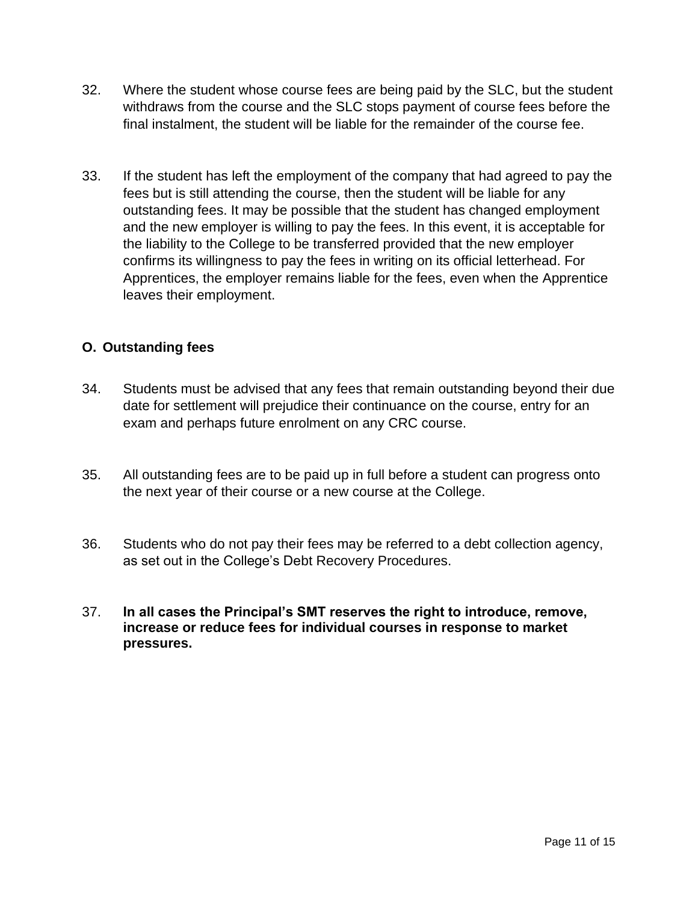- 32. Where the student whose course fees are being paid by the SLC, but the student withdraws from the course and the SLC stops payment of course fees before the final instalment, the student will be liable for the remainder of the course fee.
- 33. If the student has left the employment of the company that had agreed to pay the fees but is still attending the course, then the student will be liable for any outstanding fees. It may be possible that the student has changed employment and the new employer is willing to pay the fees. In this event, it is acceptable for the liability to the College to be transferred provided that the new employer confirms its willingness to pay the fees in writing on its official letterhead. For Apprentices, the employer remains liable for the fees, even when the Apprentice leaves their employment.

# **O. Outstanding fees**

- 34. Students must be advised that any fees that remain outstanding beyond their due date for settlement will prejudice their continuance on the course, entry for an exam and perhaps future enrolment on any CRC course.
- 35. All outstanding fees are to be paid up in full before a student can progress onto the next year of their course or a new course at the College.
- 36. Students who do not pay their fees may be referred to a debt collection agency, as set out in the College's Debt Recovery Procedures.
- 37. **In all cases the Principal's SMT reserves the right to introduce, remove, increase or reduce fees for individual courses in response to market pressures.**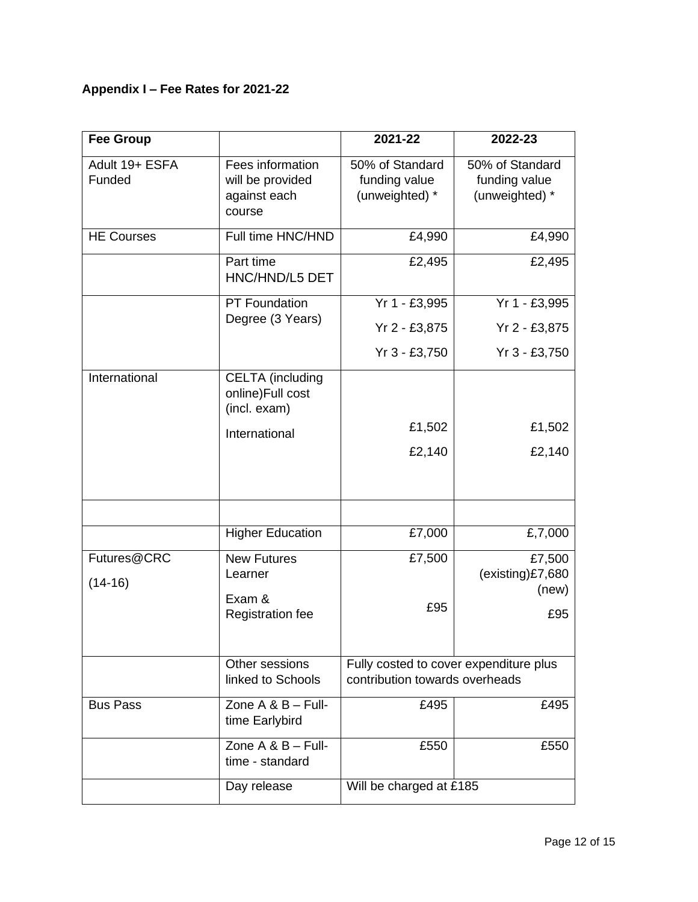# **Appendix I – Fee Rates for 2021-22**

| <b>Fee Group</b>         |                                                                | 2021-22                                                                  | 2022-23                                            |
|--------------------------|----------------------------------------------------------------|--------------------------------------------------------------------------|----------------------------------------------------|
| Adult 19+ ESFA<br>Funded | Fees information<br>will be provided<br>against each<br>course | 50% of Standard<br>funding value<br>(unweighted) *                       | 50% of Standard<br>funding value<br>(unweighted) * |
| <b>HE Courses</b>        | Full time HNC/HND                                              | £4,990                                                                   | £4,990                                             |
|                          | Part time<br>HNC/HND/L5 DET                                    | £2,495                                                                   | £2,495                                             |
|                          | PT Foundation                                                  | Yr 1 - £3,995                                                            | Yr 1 - £3,995                                      |
|                          | Degree (3 Years)                                               | Yr 2 - £3,875                                                            | Yr 2 - £3,875                                      |
|                          |                                                                | Yr 3 - £3,750                                                            | Yr 3 - £3,750                                      |
| International            | <b>CELTA</b> (including<br>online)Full cost<br>(incl. exam)    |                                                                          |                                                    |
|                          | International                                                  | £1,502                                                                   | £1,502                                             |
|                          |                                                                | £2,140                                                                   | £2,140                                             |
|                          |                                                                |                                                                          |                                                    |
|                          | <b>Higher Education</b>                                        | £7,000                                                                   | £,7,000                                            |
| Futures@CRC<br>$(14-16)$ | <b>New Futures</b><br>Learner                                  | £7,500                                                                   | £7,500<br>(existing)£7,680<br>(new)                |
|                          | Exam &<br><b>Registration fee</b>                              | £95                                                                      | £95                                                |
|                          | Other sessions<br>linked to Schools                            | Fully costed to cover expenditure plus<br>contribution towards overheads |                                                    |
| <b>Bus Pass</b>          | Zone $A & B - Full$ -<br>time Earlybird                        | £495                                                                     | £495                                               |
|                          | Zone $A \& B - Full-$<br>time - standard                       | £550                                                                     | £550                                               |
|                          | Day release                                                    | Will be charged at £185                                                  |                                                    |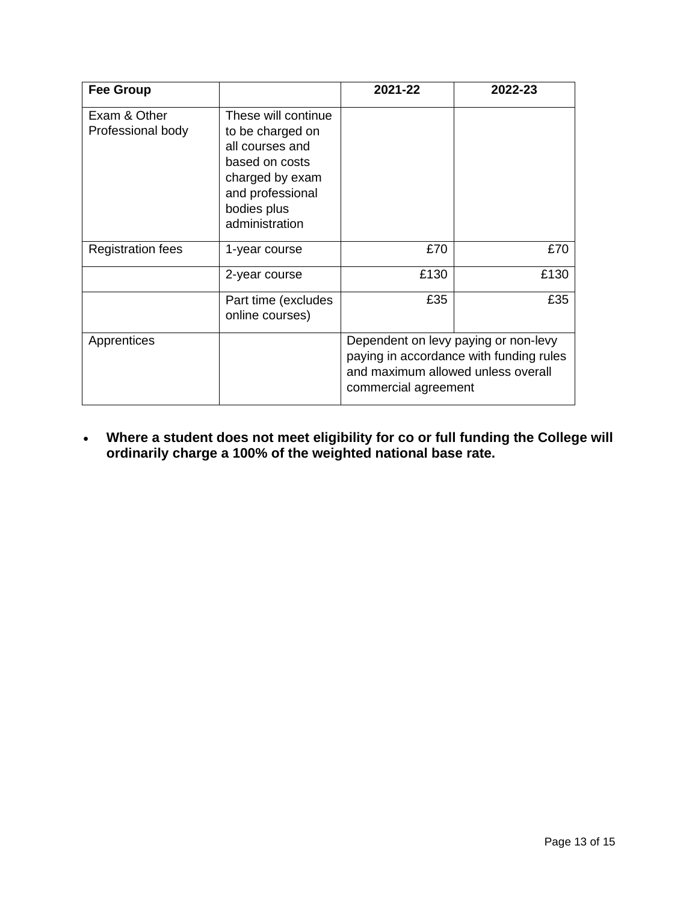| <b>Fee Group</b>                  |                                                                                                                                                      | 2021-22                                                                                                                                       | 2022-23 |
|-----------------------------------|------------------------------------------------------------------------------------------------------------------------------------------------------|-----------------------------------------------------------------------------------------------------------------------------------------------|---------|
| Exam & Other<br>Professional body | These will continue<br>to be charged on<br>all courses and<br>based on costs<br>charged by exam<br>and professional<br>bodies plus<br>administration |                                                                                                                                               |         |
| <b>Registration fees</b>          | 1-year course                                                                                                                                        | £70                                                                                                                                           | £70     |
|                                   | 2-year course                                                                                                                                        | £130                                                                                                                                          | £130    |
|                                   | Part time (excludes<br>online courses)                                                                                                               | £35                                                                                                                                           | £35     |
| Apprentices                       |                                                                                                                                                      | Dependent on levy paying or non-levy<br>paying in accordance with funding rules<br>and maximum allowed unless overall<br>commercial agreement |         |

• **Where a student does not meet eligibility for co or full funding the College will ordinarily charge a 100% of the weighted national base rate.**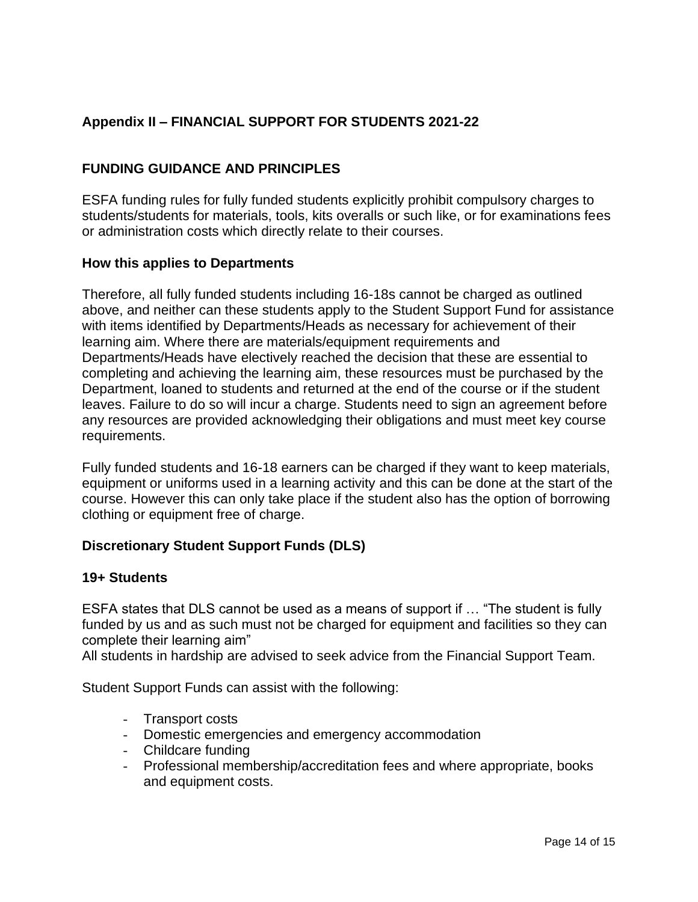# **Appendix II – FINANCIAL SUPPORT FOR STUDENTS 2021-22**

# **FUNDING GUIDANCE AND PRINCIPLES**

ESFA funding rules for fully funded students explicitly prohibit compulsory charges to students/students for materials, tools, kits overalls or such like, or for examinations fees or administration costs which directly relate to their courses.

#### **How this applies to Departments**

Therefore, all fully funded students including 16-18s cannot be charged as outlined above, and neither can these students apply to the Student Support Fund for assistance with items identified by Departments/Heads as necessary for achievement of their learning aim. Where there are materials/equipment requirements and Departments/Heads have electively reached the decision that these are essential to completing and achieving the learning aim, these resources must be purchased by the Department, loaned to students and returned at the end of the course or if the student leaves. Failure to do so will incur a charge. Students need to sign an agreement before any resources are provided acknowledging their obligations and must meet key course requirements.

Fully funded students and 16-18 earners can be charged if they want to keep materials, equipment or uniforms used in a learning activity and this can be done at the start of the course. However this can only take place if the student also has the option of borrowing clothing or equipment free of charge.

## **Discretionary Student Support Funds (DLS)**

#### **19+ Students**

ESFA states that DLS cannot be used as a means of support if … "The student is fully funded by us and as such must not be charged for equipment and facilities so they can complete their learning aim"

All students in hardship are advised to seek advice from the Financial Support Team.

Student Support Funds can assist with the following:

- Transport costs
- Domestic emergencies and emergency accommodation
- Childcare funding
- Professional membership/accreditation fees and where appropriate, books and equipment costs.